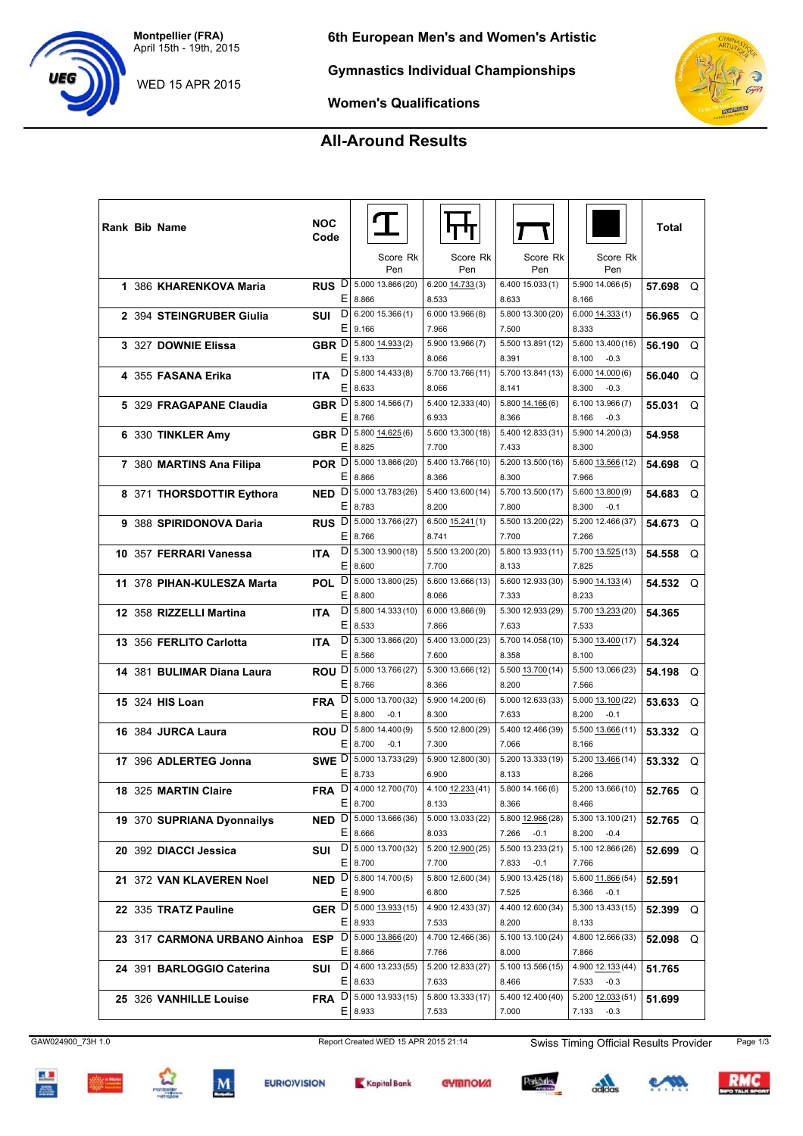**Montpellier (FRA)** April 15th - 19th, 2015

WED 15 APR 2015

**Gymnastics Individual Championships**

**Women's Qualifications**

## **All-Around Results**

|  | Rank Bib Name                                        | <b>NOC</b><br>Code |   | Score Rk                          | Score Rk                   | Score Rk                   | Score Rk                   | Total    |          |
|--|------------------------------------------------------|--------------------|---|-----------------------------------|----------------------------|----------------------------|----------------------------|----------|----------|
|  |                                                      |                    |   | Pen                               | Pen                        | Pen                        | Pen                        |          |          |
|  | 1 386 KHARENKOVA Maria                               |                    |   | RUS D 5.000 13.866 (20)           | 6.200 14.733 (3)           | 6.40015.033(1)             | 5.900 14.066 (5)           | 57.698 Q |          |
|  |                                                      |                    |   | E 8.866                           | 8.533                      | 8.633                      | 8.166                      |          |          |
|  | 2 394 STEINGRUBER Giulia                             | SUI                | D | 6.200 15.366 (1)                  | 6.000 13.966 (8)           | 5.800 13.300 (20)          | $6.000$ $14.333(1)$        | 56.965   | Q        |
|  |                                                      |                    | Е | 9.166                             | 7.966                      | 7.500                      | 8.333                      |          |          |
|  | 3 327 DOWNIE Elissa                                  | GBR $[D]$          |   | 5.800 14.933 (2)                  | 5.900 13.966 (7)           | 5.500 13.891 (12)          | 5.600 13.400 (16)          | 56.190   | Q        |
|  |                                                      |                    | Ε | 9.133                             | 8.066                      | 8.391                      | 8.100<br>$-0.3$            |          |          |
|  | 4 355 FASANA Erika                                   | <b>ITA</b>         |   | $D$ 5.800 14.433 (8)<br>E 8.633   | 5.700 13.766 (11)<br>8.066 | 5.700 13.841 (13)          | 6.00014.000(6)<br>8.300    | 56.040   | Q        |
|  |                                                      |                    |   | GBR D 5.800 14.566 (7)            | 5.400 12.333 (40)          | 8.141<br>5.800 14.166 (6)  | $-0.3$<br>6.10013.966(7)   |          |          |
|  | 5 329 FRAGAPANE Claudia                              |                    | Е | 8.766                             | 6.933                      | 8.366                      | 8.166<br>$-0.3$            | 55.031   | $\Omega$ |
|  |                                                      |                    |   | GBR D 5.800 14.625 (6)            | 5.600 13.300 (18)          | 5.400 12.833 (31)          | 5.900 14.200 (3)           |          |          |
|  | 6 330 TINKLER Amy                                    |                    | Ε | 8.825                             | 7.700                      | 7.433                      | 8.300                      | 54.958   |          |
|  | 7 380 MARTINS Ana Filipa                             | POR D              |   | 5.000 13.866 (20)                 | 5.400 13.766 (10)          | 5.200 13.500 (16)          | 5.600 13.566 (12)          | 54.698 Q |          |
|  |                                                      |                    |   | E 8.866                           | 8.366                      | 8.300                      | 7.966                      |          |          |
|  | 8 371 THORSDOTTIR Eythora                            | NED <sub>D</sub>   |   | 5.000 13.783 (26)                 | 5.400 13.600 (14)          | 5.700 13.500 (17)          | 5.600 13.800 (9)           | 54.683   | Q        |
|  |                                                      |                    | Е | 8.783                             | 8.200                      | 7.800                      | 8.300<br>$-0.1$            |          |          |
|  | 9 388 SPIRIDONOVA Daria                              | RUS <sup>D</sup>   |   | 5.000 13.766 (27)                 | $6.500$ $15.241(1)$        | 5.500 13.200 (22)          | 5.200 12.466 (37)          | 54.673   | Q        |
|  |                                                      |                    | Е | 8.766                             | 8.741                      | 7.700                      | 7.266                      |          |          |
|  | 10 357 FERRARI Vanessa                               | <b>ITA</b>         |   | $D$ 5.300 13.900 (18)             | 5.500 13.200 (20)          | 5.800 13.933 (11)          | 5.700 13.525 (13)          | 54.558   | Q        |
|  |                                                      |                    |   | E 8.600                           | 7.700                      | 8.133                      | 7.825                      |          |          |
|  | 11 378 PIHAN-KULESZA Marta                           |                    |   | POL D 5.000 13.800 (25)           | 5.600 13.666 (13)          | 5.600 12.933 (30)          | 5.900 14.133 (4)           | 54.532   | - റ      |
|  |                                                      |                    | Е | 8.800                             | 8.066                      | 7.333                      | 8.233                      |          |          |
|  | 12 358 RIZZELLI Martina                              | <b>ITA</b>         | D | 5.800 14.333 (10)                 | 6.000 13.866 (9)           | 5.300 12.933 (29)          | 5.700 13.233 (20)          | 54.365   |          |
|  |                                                      |                    | Е | 8.533                             | 7.866                      | 7.633                      | 7.533                      |          |          |
|  | 13 356 FERLITO Carlotta                              | ITA.               | D | 5.300 13.866 (20)                 | 5.400 13.000 (23)          | 5.700 14.058 (10)          | 5.300 13.400 (17)          | 54.324   |          |
|  |                                                      |                    | Е | 8.566                             | 7.600                      | 8.358                      | 8.100                      |          |          |
|  | 14 381 BULIMAR Diana Laura                           |                    |   | ROU D 5.000 13.766 (27)           | 5.300 13.666 (12)          | 5.500 13.700 (14)          | 5.500 13.066 (23)          | 54.198   | $\Omega$ |
|  |                                                      |                    | Е | 8.766                             | 8.366                      | 8.200                      | 7.566                      |          |          |
|  | <b>15 324 HIS Loan</b>                               | <b>FRA</b>         | D | 5.000 13.700 (32)                 | 5.900 14.200 (6)           | 5.000 12.633 (33)          | 5.000 13.100 (22)          | 53.633   | Q        |
|  |                                                      |                    | Е | 8.800<br>$-0.1$                   | 8.300                      | 7.633                      | 8.200<br>$-0.1$            |          |          |
|  | 16 384 JURCA Laura                                   | ROU <sup>D</sup>   |   | 5.800 14.400 (9)<br>E 8.700       | 5.500 12.800 (29)          | 5.400 12.466 (39)          | 5.500 13.666 (11)          | 53.332   | Q        |
|  |                                                      |                    |   | $-0.1$<br>SWE D 5.000 13.733 (29) | 7.300                      | 7.066                      | 8.166                      |          |          |
|  | 17 396 ADLERTEG Jonna                                |                    | Е | 8.733                             | 5.900 12.800 (30)<br>6.900 | 5.200 13.333 (19)<br>8.133 | 5.200 13.466 (14)<br>8.266 | 53.332   | - റ      |
|  |                                                      |                    | D | 4.000 12.700 (70)                 | 4.100 12.233 (41)          | 5.80014.166(6)             | 5.200 13.666 (10)          |          |          |
|  | 18 325 MARTIN Claire                                 | <b>FRA</b>         | Ε | 8.700                             | 8.133                      | 8.366                      | 8.466                      | 52.765   | Q        |
|  | 19 370 SUPRIANA Dyonnailys                           |                    |   | NED D 5.000 13.666 (36)           | 5.000 13.033 (22)          | 5.800 12.966 (28)          | 5.300 13.100 (21)          |          |          |
|  |                                                      |                    |   | E 8.666                           | 8.033                      | 7.266<br>$-0.1$            | 8.200<br>$-0.4$            | 52.765 Q |          |
|  | 20 392 DIACCI Jessica                                | SUI                |   | D 5.000 13.700 (32)               | 5.200 12.900 (25)          | 5.500 13.233 (21)          | 5.100 12.866 (26)          | 52.699 Q |          |
|  |                                                      |                    |   | $E$   8.700                       | 7.700                      | 7.833<br>$-0.1$            | 7.766                      |          |          |
|  | 21 372 VAN KLAVEREN Noel                             |                    |   | NED D 5.800 14.700 (5)            | 5.800 12.600 (34)          | 5.900 13.425 (18)          | 5.600 11.866 (54)          | 52.591   |          |
|  |                                                      |                    |   | E 8.900                           | 6.800                      | 7.525                      | 6.366<br>$-0.1$            |          |          |
|  | 22 335 TRATZ Pauline                                 |                    |   | GER D 5.000 13.933 (15)           | 4.900 12.433 (37)          | 4.400 12.600 (34)          | 5.300 13.433 (15)          | 52.399 Q |          |
|  |                                                      |                    |   | E 8.933                           | 7.533                      | 8.200                      | 8.133                      |          |          |
|  | 23 317 CARMONA URBANO Ainhoa ESP D 5.000 13.866 (20) |                    |   |                                   | 4.700 12.466 (36)          | 5.100 13.100 (24)          | 4.800 12.666 (33)          | 52.098 Q |          |
|  |                                                      |                    |   | $E$   8.866                       | 7.766                      | 8.000                      | 7.866                      |          |          |
|  | 24 391 BARLOGGIO Caterina                            | SUI                |   | $D$ 4.600 13.233 (55)             | 5.200 12.833 (27)          | 5.100 13.566 (15)          | 4.900 12.133 (44)          | 51.765   |          |
|  |                                                      |                    |   | E 8.633                           | 7.633                      | 8.466                      | 7.533<br>$-0.3$            |          |          |
|  | 25 326 VANHILLE Louise                               | <b>FRA</b>         |   | $D$   5.000 13.933 (15)           | 5.800 13.333 (17)          | 5.400 12.400 (40)          | 5.200 12.033 (51)          | 51.699   |          |
|  |                                                      |                    |   | E 8.933                           | 7.533                      | 7.000                      | $7.133 - 0.3$              |          |          |



 $rac{1}{\sqrt{2}}$ 











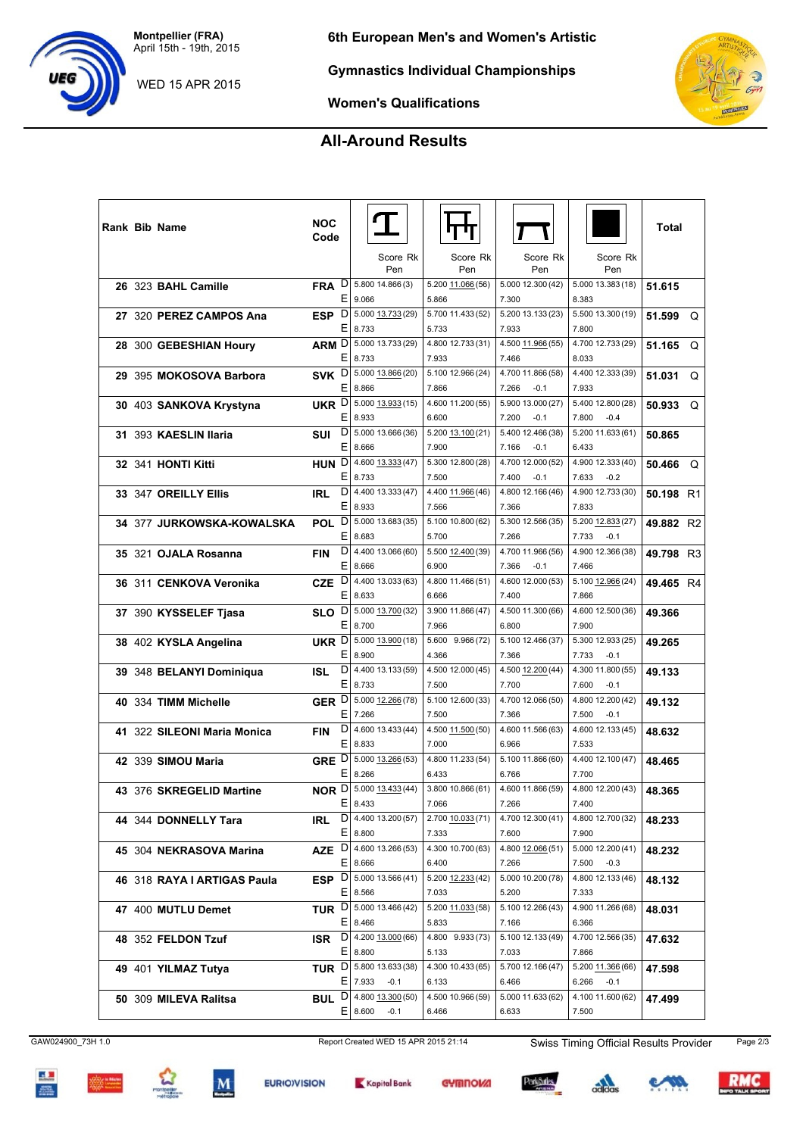**Montpellier (FRA)** April 15th - 19th, 2015

WED 15 APR 2015



**Gymnastics Individual Championships**

**Women's Qualifications**

## **All-Around Results**

| <b>GYMNA</b><br>RTISTION    |
|-----------------------------|
|                             |
|                             |
| <b>MONTPELLIER</b><br>Arena |

| Rank Bib Name |                             | <b>NOC</b><br>Code |    |                         |                   |                   |                   | Total     |                |
|---------------|-----------------------------|--------------------|----|-------------------------|-------------------|-------------------|-------------------|-----------|----------------|
|               |                             |                    |    | Score Rk                | Score Rk          | Score Rk          | Score Rk          |           |                |
|               |                             |                    |    | Pen                     | Pen               | Pen               | Pen               |           |                |
|               | 26 323 BAHL Camille         | <b>FRA</b>         | D  | 5.800 14.866 (3)        | 5.200 11.066 (56) | 5.000 12.300 (42) | 5.000 13.383 (18) | 51.615    |                |
|               |                             |                    | Ε  | 9.066                   | 5.866             | 7.300             | 8.383             |           |                |
|               | 27 320 PEREZ CAMPOS Ana     | <b>ESP</b>         | D  | 5.000 13.733 (29)       | 5.700 11.433 (52) | 5.200 13.133 (23) | 5.500 13.300 (19) | 51.599    | Q              |
|               |                             |                    | Ε  | 8.733                   | 5.733             | 7.933             | 7.800             |           |                |
|               | 28 300 GEBESHIAN Houry      | ARM <sup>D</sup>   |    | 5.000 13.733 (29)       | 4.800 12.733 (31) | 4.500 11.966 (55) | 4.700 12.733 (29) | 51.165    | Q              |
|               |                             |                    | E. | 8.733                   | 7.933             | 7.466             | 8.033             |           |                |
|               | 29 395 MOKOSOVA Barbora     | <b>SVK</b>         | D  | 5.000 13.866 (20)       | 5.100 12.966 (24) | 4.700 11.866 (58) | 4.400 12.333 (39) | 51.031    | Q              |
|               |                             |                    | Ε  | 8.866                   | 7.866             | 7.266<br>$-0.1$   | 7.933             |           |                |
|               | 30 403 SANKOVA Krystyna     | UKR D              |    | 5.000 13.933 (15)       | 4.600 11.200 (55) | 5.900 13.000 (27) | 5.400 12.800 (28) | 50.933    | Q              |
|               |                             |                    | Ε  | 8.933                   | 6.600             | 7.200<br>$-0.1$   | 7.800<br>$-0.4$   |           |                |
|               | 31 393 KAESLIN Ilaria       | SUI                | D  | 5.000 13.666 (36)       | 5.200 13.100 (21) | 5.400 12.466 (38) | 5.200 11.633 (61) | 50.865    |                |
|               |                             |                    | Ε  | 8.666                   | 7.900             | 7.166<br>$-0.1$   | 6.433             |           |                |
|               | 32 341 HONTI Kitti          | <b>HUN</b>         | D  | 4.600 13.333 (47)       | 5.300 12.800 (28) | 4.700 12.000 (52) | 4.900 12.333 (40) | 50.466    | $\Omega$       |
|               |                             |                    | Ε  | 8.733                   | 7.500             | 7.400<br>$-0.1$   | 7.633<br>$-0.2$   |           |                |
|               | 33 347 OREILLY Ellis        | <b>IRL</b>         | D  | 4.400 13.333 (47)       | 4.400 11.966 (46) | 4.800 12.166 (46) | 4.900 12.733 (30) | 50.198 R1 |                |
|               |                             |                    | Е  | 8.933                   | 7.566             | 7.366             | 7.833             |           |                |
|               | 34 377 JURKOWSKA-KOWALSKA   | <b>POL</b>         | D  | 5.000 13.683 (35)       | 5.100 10.800 (62) | 5.300 12.566 (35) | 5.200 12.833 (27) | 49.882 R2 |                |
|               |                             |                    | Ε  | 8.683                   | 5.700             | 7.266             | 7.733<br>$-0.1$   |           |                |
|               | 35 321 OJALA Rosanna        | <b>FIN</b>         |    | $D$ 4.400 13.066 (60)   | 5.500 12.400 (39) | 4.700 11.966 (56) | 4.900 12.366 (38) | 49.798    | R <sub>3</sub> |
|               |                             |                    | Ε  | 8.666                   | 6.900             | 7.366<br>$-0.1$   | 7.466             |           |                |
|               | 36 311 CENKOVA Veronika     | <b>CZE</b>         | D  | 4.400 13.033 (63)       | 4.800 11.466 (51) | 4.600 12.000 (53) | 5.100 12.966 (24) | 49.465 R4 |                |
|               |                             |                    | Ε  | 8.633                   | 6.666             | 7.400             | 7.866             |           |                |
|               | 37 390 KYSSELEF Tjasa       | SLO <sup>D</sup>   |    | 5.000 13.700 (32)       | 3.900 11.866 (47) | 4.500 11.300 (66) | 4.600 12.500 (36) | 49.366    |                |
|               |                             |                    | Е  | 8.700                   | 7.966             | 6.800             | 7.900             |           |                |
|               | 38 402 KYSLA Angelina       | UKR D              |    | 5.000 13.900 (18)       | 5.600 9.966 (72)  | 5.100 12.466 (37) | 5.300 12.933 (25) | 49.265    |                |
|               |                             |                    | Ε  | 8.900                   | 4.366             | 7.366             | 7.733<br>$-0.1$   |           |                |
|               | 39 348 BELANYI Dominiqua    | ISL                | D  | 4.400 13.133 (59)       | 4.500 12.000 (45) | 4.500 12.200 (44) | 4.300 11.800 (55) | 49.133    |                |
|               |                             |                    | Е  | 8.733                   | 7.500             | 7.700             | 7.600<br>$-0.1$   |           |                |
|               | 40 334 TIMM Michelle        | GER D              |    | 5.000 12.266 (78)       | 5.100 12.600 (33) | 4.700 12.066 (50) | 4.800 12.200 (42) | 49.132    |                |
|               |                             |                    | Е  | 7.266                   | 7.500             | 7.366             | 7.500<br>$-0.1$   |           |                |
|               | 41 322 SILEONI Maria Monica | <b>FIN</b>         | D  | 4.600 13.433 (44)       | 4.500 11.500 (50) | 4.600 11.566 (63) | 4.600 12.133 (45) | 48.632    |                |
|               |                             |                    | Ε  | 8.833                   | 7.000             | 6.966             | 7.533             |           |                |
|               | 42 339 SIMOU Maria          | GRE D              |    | 5.000 13.266 (53)       | 4.800 11.233 (54) | 5.100 11.866 (60) | 4.400 12.100 (47) | 48.465    |                |
|               |                             |                    | Ε  | 8.266                   | 6.433             | 6.766             | 7.700             |           |                |
|               | 43 376 SKREGELID Martine    | NOR <sup>D</sup>   |    | 5.000 13.433 (44)       | 3.800 10.866 (61) | 4.600 11.866 (59) | 4.800 12.200 (43) | 48.365    |                |
|               |                             |                    | ΕI | 8.433                   | 7.066             | 7.266             | 7.400             |           |                |
|               | 44 344 DONNELLY Tara        | <b>IRL</b>         | D  | 4.400 13.200 (57)       | 2.700 10.033 (71) | 4.700 12.300 (41) | 4.800 12.700 (32) | 48.233    |                |
|               |                             |                    | Ε  | 8.800                   | 7.333             | 7.600             | 7.900             |           |                |
|               | 45 304 NEKRASOVA Marina     | AZE                | D  | 4.600 13.266 (53)       | 4.300 10.700 (63) | 4.800 12.066 (51) | 5.000 12.200 (41) | 48.232    |                |
|               |                             |                    | Ε  | 8.666                   | 6.400             | 7.266             | 7.500<br>$-0.3$   |           |                |
|               | 46 318 RAYA I ARTIGAS Paula | ESP $\overline{D}$ |    | 5.000 13.566 (41)       | 5.200 12.233 (42) | 5.000 10.200 (78) | 4.800 12.133 (46) | 48.132    |                |
|               |                             |                    | Ε  | 8.566                   | 7.033             | 5.200             | 7.333             |           |                |
|               | 47 400 MUTLU Demet          |                    |    | TUR $D 5.00013.466(42)$ | 5.200 11.033 (58) | 5.100 12.266 (43) | 4.900 11.266 (68) | 48.031    |                |
|               |                             |                    | Ε  | 8.466                   | 5.833             | 7.166             | 6.366             |           |                |
|               | 48 352 FELDON Tzuf          | <b>ISR</b>         | D  | 4.200 13.000 (66)       | 4.800 9.933 (73)  | 5.100 12.133 (49) | 4.700 12.566 (35) | 47.632    |                |
|               |                             |                    | Ε  | 8.800                   | 5.133             | 7.033             | 7.866             |           |                |
|               | 49 401 YILMAZ Tutya         | TUR D              |    | 5.800 13.633 (38)       | 4.300 10.433 (65) | 5.700 12.166 (47) | 5.200 11.366 (66) | 47.598    |                |
|               |                             |                    | ΕI | 7.933<br>$-0.1$         | 6.133             | 6.466             | 6.266<br>$-0.1$   |           |                |
|               | 50 309 MILEVA Ralitsa       | <b>BUL</b>         | D  | 4.800 13.300 (50)       | 4.500 10.966 (59) | 5.000 11.633 (62) | 4.100 11.600 (62) | 47.499    |                |
|               |                             |                    | Ε  | 8.600<br>$-0.1$         | 6.466             | 6.633             | 7.500             |           |                |

GAW024900\_73H 1.0 Report Created WED 15 APR 2015 21:14 Swiss Timing Official Results Provider Page 2/3